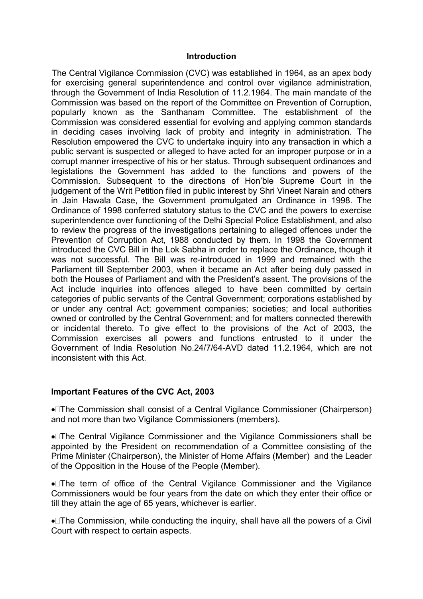#### **Introduction**

The Central Vigilance Commission (CVC) was established in 1964, as an apex body for exercising general superintendence and control over vigilance administration, through the Government of India Resolution of 11.2.1964. The main mandate of the Commission was based on the report of the Committee on Prevention of Corruption, popularly known as the Santhanam Committee. The establishment of the Commission was considered essential for evolving and applying common standards in deciding cases involving lack of probity and integrity in administration. The Resolution empowered the CVC to undertake inquiry into any transaction in which a public servant is suspected or alleged to have acted for an improper purpose or in a corrupt manner irrespective of his or her status. Through subsequent ordinances and legislations the Government has added to the functions and powers of the Commission. Subsequent to the directions of Hon'ble Supreme Court in the judgement of the Writ Petition filed in public interest by Shri Vineet Narain and others in Jain Hawala Case, the Government promulgated an Ordinance in 1998. The Ordinance of 1998 conferred statutory status to the CVC and the powers to exercise superintendence over functioning of the Delhi Special Police Establishment, and also to review the progress of the investigations pertaining to alleged offences under the Prevention of Corruption Act, 1988 conducted by them. In 1998 the Government introduced the CVC Bill in the Lok Sabha in order to replace the Ordinance, though it was not successful. The Bill was re-introduced in 1999 and remained with the Parliament till September 2003, when it became an Act after being duly passed in both the Houses of Parliament and with the President's assent. The provisions of the Act include inquiries into offences alleged to have been committed by certain categories of public servants of the Central Government; corporations established by or under any central Act; government companies; societies; and local authorities owned or controlled by the Central Government; and for matters connected therewith or incidental thereto. To give effect to the provisions of the Act of 2003, the Commission exercises all powers and functions entrusted to it under the Government of India Resolution No.24/7/64-AVD dated 11.2.1964, which are not inconsistent with this Act.

### Important Features of the CVC Act, 2003

The Commission shall consist of a Central Vigilance Commissioner (Chairperson) and not more than two Vigilance Commissioners (members).

The Central Vigilance Commissioner and the Vigilance Commissioners shall be appointed by the President on recommendation of a Committee consisting of the Prime Minister (Chairperson), the Minister of Home Affairs (Member) and the Leader of the Opposition in the House of the People (Member).

The term of office of the Central Vigilance Commissioner and the Vigilance Commissioners would be four years from the date on which they enter their office or till they attain the age of 65 years, whichever is earlier.

The Commission, while conducting the inquiry, shall have all the powers of a Civil Court with respect to certain aspects.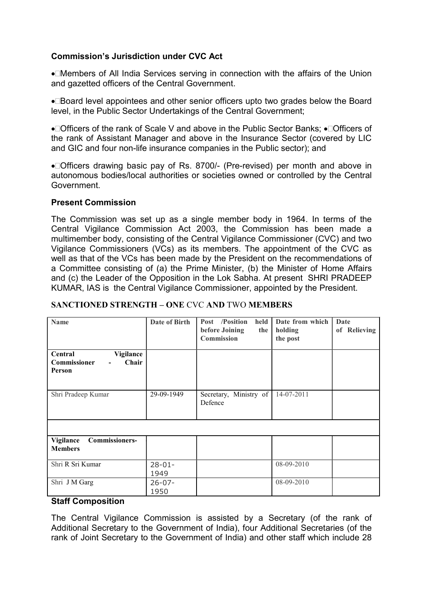## Commission's Jurisdiction under CVC Act

Members of All India Services serving in connection with the affairs of the Union and gazetted officers of the Central Government.

●□Board level appointees and other senior officers upto two grades below the Board level, in the Public Sector Undertakings of the Central Government;

 $\bullet$  Officers of the rank of Scale V and above in the Public Sector Banks:  $\bullet$  Officers of the rank of Assistant Manager and above in the Insurance Sector (covered by LIC and GIC and four non-life insurance companies in the Public sector); and

Officers drawing basic pay of Rs. 8700/- (Pre-revised) per month and above in autonomous bodies/local authorities or societies owned or controlled by the Central Government.

### Present Commission

The Commission was set up as a single member body in 1964. In terms of the Central Vigilance Commission Act 2003, the Commission has been made a multimember body, consisting of the Central Vigilance Commissioner (CVC) and two Vigilance Commissioners (VCs) as its members. The appointment of the CVC as well as that of the VCs has been made by the President on the recommendations of a Committee consisting of (a) the Prime Minister, (b) the Minister of Home Affairs and (c) the Leader of the Opposition in the Lok Sabha. At present SHRI PRADEEP KUMAR, IAS is the Central Vigilance Commissioner, appointed by the President.

| <b>Name</b>                                             | Date of Birth       | Post /Position<br>held<br>before Joining<br>the<br>Commission | Date from which<br>holding<br>the post | Date<br>of Relieving |
|---------------------------------------------------------|---------------------|---------------------------------------------------------------|----------------------------------------|----------------------|
| Vigilance<br>Central<br>Commissioner<br>Chair<br>Person |                     |                                                               |                                        |                      |
| Shri Pradeep Kumar                                      | 29-09-1949          | Secretary, Ministry of<br>Defence                             | 14-07-2011                             |                      |
|                                                         |                     |                                                               |                                        |                      |
| <b>Commissioners-</b><br>Vigilance<br><b>Members</b>    |                     |                                                               |                                        |                      |
| Shri R Sri Kumar                                        | $28 - 01 -$<br>1949 |                                                               | 08-09-2010                             |                      |
| Shri J M Garg                                           | $26 - 07 -$<br>1950 |                                                               | 08-09-2010                             |                      |

### SANCTIONED STRENGTH – ONE CVC AND TWO MEMBERS

### Staff Composition

The Central Vigilance Commission is assisted by a Secretary (of the rank of Additional Secretary to the Government of India), four Additional Secretaries (of the rank of Joint Secretary to the Government of India) and other staff which include 28